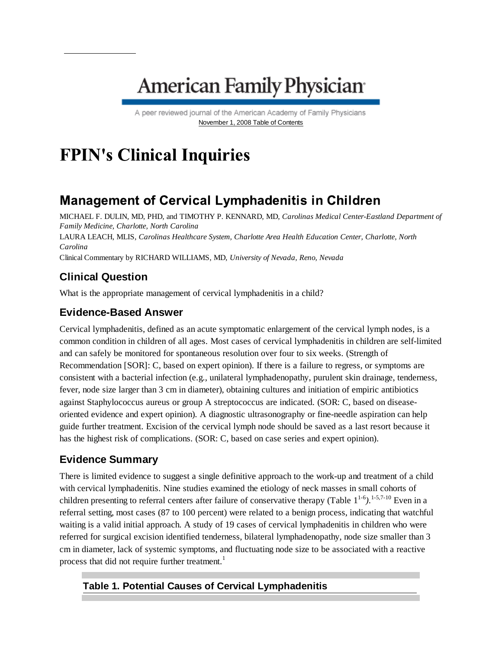# **American Family Physician**

A peer reviewed journal of the American Academy of Family Physicians November 1, 2008 Table of Contents

## **FPIN's Clinical Inquiries**

## **Management of Cervical Lymphadenitis in Children**

MICHAEL F. DULIN, MD, PHD, and TIMOTHY P. KENNARD, MD, *Carolinas Medical Center-Eastland Department of Family Medicine, Charlotte, North Carolina* LAURA LEACH, MLIS, *Carolinas Healthcare System, Charlotte Area Health Education Center, Charlotte, North Carolina* Clinical Commentary by RICHARD WILLIAMS, MD, *University of Nevada, Reno, Nevada*

### **Clinical Question**

What is the appropriate management of cervical lymphadenitis in a child?

### **Evidence-Based Answer**

Cervical lymphadenitis, defined as an acute symptomatic enlargement of the cervical lymph nodes, is a common condition in children of all ages. Most cases of cervical lymphadenitis in children are self-limited and can safely be monitored for spontaneous resolution over four to six weeks. (Strength of Recommendation [SOR]: C, based on expert opinion). If there is a failure to regress, or symptoms are consistent with a bacterial infection (e.g., unilateral lymphadenopathy, purulent skin drainage, tenderness, fever, node size larger than 3 cm in diameter), obtaining cultures and initiation of empiric antibiotics against Staphylococcus aureus or group A streptococcus are indicated. (SOR: C, based on diseaseoriented evidence and expert opinion). A diagnostic ultrasonography or fine-needle aspiration can help guide further treatment. Excision of the cervical lymph node should be saved as a last resort because it has the highest risk of complications. (SOR: C, based on case series and expert opinion).

#### **Evidence Summary**

There is limited evidence to suggest a single definitive approach to the work-up and treatment of a child with cervical lymphadenitis. Nine studies examined the etiology of neck masses in small cohorts of children presenting to referral centers after failure of conservative therapy (Table 1<sup>1-6</sup>).<sup>1-5,7-10</sup> Even in a referral setting, most cases (87 to 100 percent) were related to a benign process, indicating that watchful waiting is a valid initial approach. A study of 19 cases of cervical lymphadenitis in children who were referred for surgical excision identified tenderness, bilateral lymphadenopathy, node size smaller than 3 cm in diameter, lack of systemic symptoms, and fluctuating node size to be associated with a reactive process that did not require further treatment.<sup>1</sup>

#### **Table 1. Potential Causes of Cervical Lymphadenitis**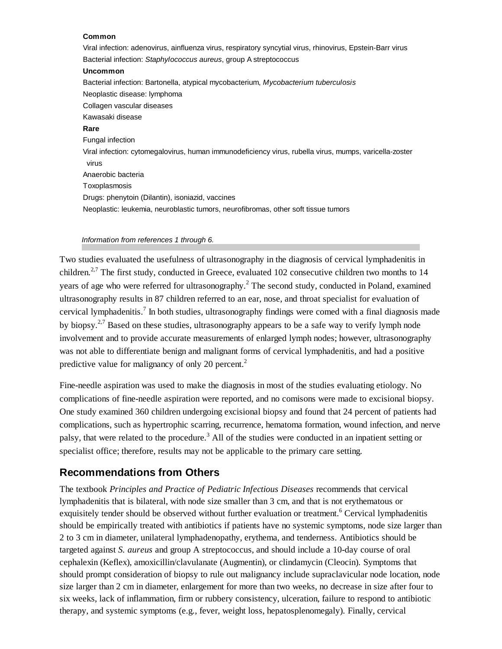#### **Common**

Viral infection: adenovirus, ainfluenza virus, respiratory syncytial virus, rhinovirus, Epstein-Barr virus Bacterial infection: *Staphylococcus aureus*, group A streptococcus **Uncommon** Bacterial infection: Bartonella, atypical mycobacterium, *Mycobacterium tuberculosis* Neoplastic disease: lymphoma Collagen vascular diseases Kawasaki disease **Rare** Fungal infection Viral infection: cytomegalovirus, human immunodeficiency virus, rubella virus, mumps, varicella-zoster virus Anaerobic bacteria Toxoplasmosis Drugs: phenytoin (Dilantin), isoniazid, vaccines Neoplastic: leukemia, neuroblastic tumors, neurofibromas, other soft tissue tumors

#### *Information from references 1 through 6.*

Two studies evaluated the usefulness of ultrasonography in the diagnosis of cervical lymphadenitis in children.<sup>2,7</sup> The first study, conducted in Greece, evaluated 102 consecutive children two months to 14 years of age who were referred for ultrasonography.<sup>2</sup> The second study, conducted in Poland, examined ultrasonography results in 87 children referred to an ear, nose, and throat specialist for evaluation of cervical lymphadenitis.<sup>7</sup> In both studies, ultrasonography findings were comed with a final diagnosis made by biopsy.<sup>2,7</sup> Based on these studies, ultrasonography appears to be a safe way to verify lymph node involvement and to provide accurate measurements of enlarged lymph nodes; however, ultrasonography was not able to differentiate benign and malignant forms of cervical lymphadenitis, and had a positive predictive value for malignancy of only 20 percent.<sup>2</sup>

Fine-needle aspiration was used to make the diagnosis in most of the studies evaluating etiology. No complications of fine-needle aspiration were reported, and no comisons were made to excisional biopsy. One study examined 360 children undergoing excisional biopsy and found that 24 percent of patients had complications, such as hypertrophic scarring, recurrence, hematoma formation, wound infection, and nerve palsy, that were related to the procedure.<sup>3</sup> All of the studies were conducted in an inpatient setting or specialist office; therefore, results may not be applicable to the primary care setting.

#### **Recommendations from Others**

The textbook *Principles and Practice of Pediatric Infectious Diseases* recommends that cervical lymphadenitis that is bilateral, with node size smaller than 3 cm, and that is not erythematous or exquisitely tender should be observed without further evaluation or treatment.<sup>6</sup> Cervical lymphadenitis should be empirically treated with antibiotics if patients have no systemic symptoms, node size larger than 2 to 3 cm in diameter, unilateral lymphadenopathy, erythema, and tenderness. Antibiotics should be targeted against *S. aureus* and group A streptococcus, and should include a 10-day course of oral cephalexin (Keflex), amoxicillin/clavulanate (Augmentin), or clindamycin (Cleocin). Symptoms that should prompt consideration of biopsy to rule out malignancy include supraclavicular node location, node size larger than 2 cm in diameter, enlargement for more than two weeks, no decrease in size after four to six weeks, lack of inflammation, firm or rubbery consistency, ulceration, failure to respond to antibiotic therapy, and systemic symptoms (e.g., fever, weight loss, hepatosplenomegaly). Finally, cervical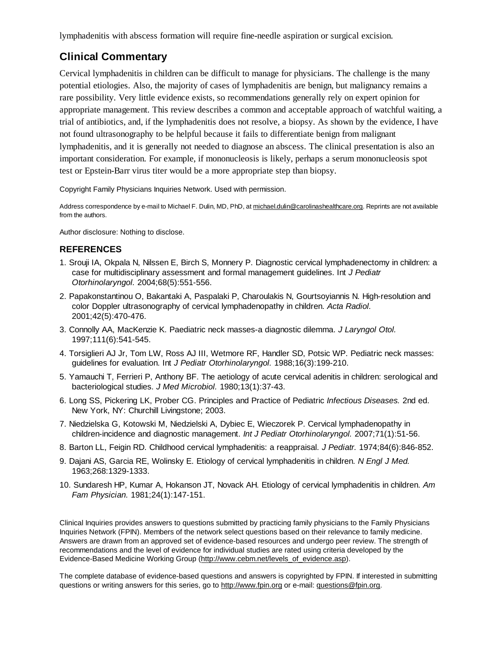lymphadenitis with abscess formation will require fine-needle aspiration or surgical excision.

#### **Clinical Commentary**

Cervical lymphadenitis in children can be difficult to manage for physicians. The challenge is the many potential etiologies. Also, the majority of cases of lymphadenitis are benign, but malignancy remains a rare possibility. Very little evidence exists, so recommendations generally rely on expert opinion for appropriate management. This review describes a common and acceptable approach of watchful waiting, a trial of antibiotics, and, if the lymphadenitis does not resolve, a biopsy. As shown by the evidence, I have not found ultrasonography to be helpful because it fails to differentiate benign from malignant lymphadenitis, and it is generally not needed to diagnose an abscess. The clinical presentation is also an important consideration. For example, if mononucleosis is likely, perhaps a serum mononucleosis spot test or Epstein-Barr virus titer would be a more appropriate step than biopsy.

Copyright Family Physicians Inquiries Network. Used with permission.

Address correspondence by e-mail to Michael F. Dulin, MD, PhD, at michael.dulin@carolinashealthcare.org. Reprints are not available from the authors.

Author disclosure: Nothing to disclose.

#### **REFERENCES**

- 1. Srouji IA, Okpala N, Nilssen E, Birch S, Monnery P. Diagnostic cervical lymphadenectomy in children: a case for multidisciplinary assessment and formal management guidelines. Int *J Pediatr Otorhinolaryngol.* 2004;68(5):551-556.
- 2. Papakonstantinou O, Bakantaki A, Paspalaki P, Charoulakis N, Gourtsoyiannis N. High-resolution and color Doppler ultrasonography of cervical lymphadenopathy in children. *Acta Radiol.* 2001;42(5):470-476.
- 3. Connolly AA, MacKenzie K. Paediatric neck masses-a diagnostic dilemma. *J Laryngol Otol.* 1997;111(6):541-545.
- 4. Torsiglieri AJ Jr, Tom LW, Ross AJ III, Wetmore RF, Handler SD, Potsic WP. Pediatric neck masses: guidelines for evaluation. Int *J Pediatr Otorhinolaryngol.* 1988;16(3):199-210.
- 5. Yamauchi T, Ferrieri P, Anthony BF. The aetiology of acute cervical adenitis in children: serological and bacteriological studies. *J Med Microbiol.* 1980;13(1):37-43.
- 6. Long SS, Pickering LK, Prober CG. Principles and Practice of Pediatric *Infectious Diseases.* 2nd ed. New York, NY: Churchill Livingstone; 2003.
- 7. Niedzielska G, Kotowski M, Niedzielski A, Dybiec E, Wieczorek P. Cervical lymphadenopathy in children-incidence and diagnostic management. *Int J Pediatr Otorhinolaryngol.* 2007;71(1):51-56.
- 8. Barton LL, Feigin RD. Childhood cervical lymphadenitis: a reappraisal. *J Pediatr.* 1974;84(6):846-852.
- 9. Dajani AS, Garcia RE, Wolinsky E. Etiology of cervical lymphadenitis in children. *N Engl J Med.* 1963;268:1329-1333.
- 10. Sundaresh HP, Kumar A, Hokanson JT, Novack AH. Etiology of cervical lymphadenitis in children. *Am Fam Physician.* 1981;24(1):147-151.

Clinical Inquiries provides answers to questions submitted by practicing family physicians to the Family Physicians Inquiries Network (FPIN). Members of the network select questions based on their relevance to family medicine. Answers are drawn from an approved set of evidence-based resources and undergo peer review. The strength of recommendations and the level of evidence for individual studies are rated using criteria developed by the Evidence-Based Medicine Working Group (http://www.cebm.net/levels\_of\_evidence.asp).

The complete database of evidence-based questions and answers is copyrighted by FPIN. If interested in submitting questions or writing answers for this series, go to http://www.fpin.org or e-mail: questions@fpin.org.